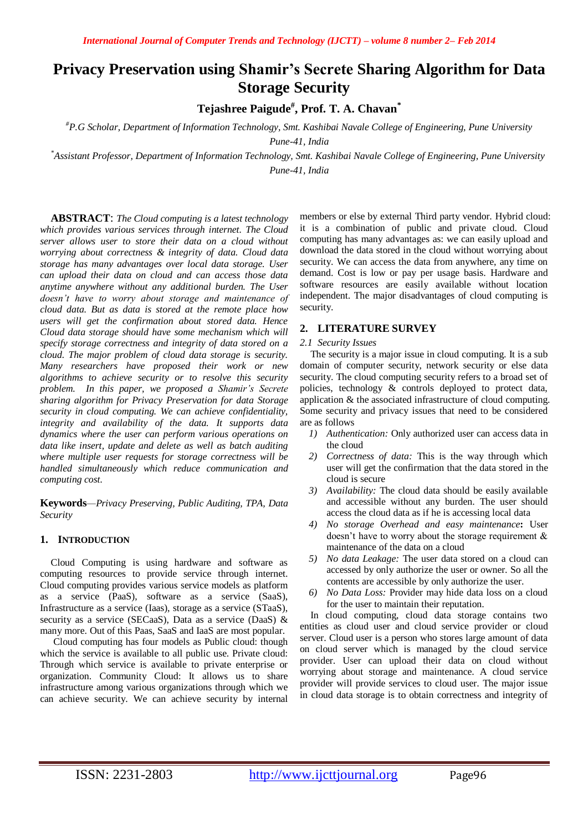# **Privacy Preservation using Shamir's Secrete Sharing Algorithm for Data Storage Security**

**Tejashree Paigude# , Prof. T. A. Chavan\***

*#P.G Scholar, Department of Information Technology, Smt. Kashibai Navale College of Engineering, Pune University Pune-41, India*

*\*Assistant Professor, Department of Information Technology, Smt. Kashibai Navale College of Engineering, Pune University Pune-41, India*

**ABSTRACT**: *The Cloud computing is a latest technology which provides various services through internet. The Cloud server allows user to store their data on a cloud without worrying about correctness & integrity of data. Cloud data storage has many advantages over local data storage. User can upload their data on cloud and can access those data anytime anywhere without any additional burden. The User doesn't have to worry about storage and maintenance of cloud data. But as data is stored at the remote place how users will get the confirmation about stored data. Hence Cloud data storage should have some mechanism which will specify storage correctness and integrity of data stored on a cloud. The major problem of cloud data storage is security. Many researchers have proposed their work or new algorithms to achieve security or to resolve this security problem. In this paper, we proposed a Shamir's Secrete sharing algorithm for Privacy Preservation for data Storage security in cloud computing. We can achieve confidentiality, integrity and availability of the data. It supports data dynamics where the user can perform various operations on data like insert, update and delete as well as batch auditing where multiple user requests for storage correctness will be handled simultaneously which reduce communication and computing cost.* 

**Keywords***—Privacy Preserving, Public Auditing, TPA, Data Security*

# **1. INTRODUCTION**

Cloud Computing is using hardware and software as computing resources to provide service through internet. Cloud computing provides various service models as platform as a service (PaaS), software as a service (SaaS), Infrastructure as a service (Iaas), storage as a service (STaaS), security as a service (SECaaS), Data as a service (DaaS) & many more. Out of this Paas, SaaS and IaaS are most popular.

Cloud computing has four models as Public cloud: though which the service is available to all public use. Private cloud: Through which service is available to private enterprise or organization. Community Cloud: It allows us to share infrastructure among various organizations through which we can achieve security. We can achieve security by internal

members or else by external Third party vendor. Hybrid cloud: it is a combination of public and private cloud. Cloud computing has many advantages as: we can easily upload and download the data stored in the cloud without worrying about security. We can access the data from anywhere, any time on demand. Cost is low or pay per usage basis. Hardware and software resources are easily available without location independent. The major disadvantages of cloud computing is security.

# **2. LITERATURE SURVEY**

# *2.1 Security Issues*

The security is a major issue in cloud computing. It is a sub domain of computer security, network security or else data security. The cloud computing security refers to a broad set of policies, technology & controls deployed to protect data, application & the associated infrastructure of cloud computing. Some security and privacy issues that need to be considered are as follows

- *1) Authentication:* Only authorized user can access data in the cloud
- *2) Correctness of data:* This is the way through which user will get the confirmation that the data stored in the cloud is secure
- *3) Availability:* The cloud data should be easily available and accessible without any burden. The user should access the cloud data as if he is accessing local data
- *4) No storage Overhead and easy maintenance***:** User doesn't have to worry about the storage requirement & maintenance of the data on a cloud
- *5) No data Leakage:* The user data stored on a cloud can accessed by only authorize the user or owner. So all the contents are accessible by only authorize the user.
- *6) No Data Loss:* Provider may hide data loss on a cloud for the user to maintain their reputation.

In cloud computing, cloud data storage contains two entities as cloud user and cloud service provider or cloud server. Cloud user is a person who stores large amount of data on cloud server which is managed by the cloud service provider. User can upload their data on cloud without worrying about storage and maintenance. A cloud service provider will provide services to cloud user. The major issue in cloud data storage is to obtain correctness and integrity of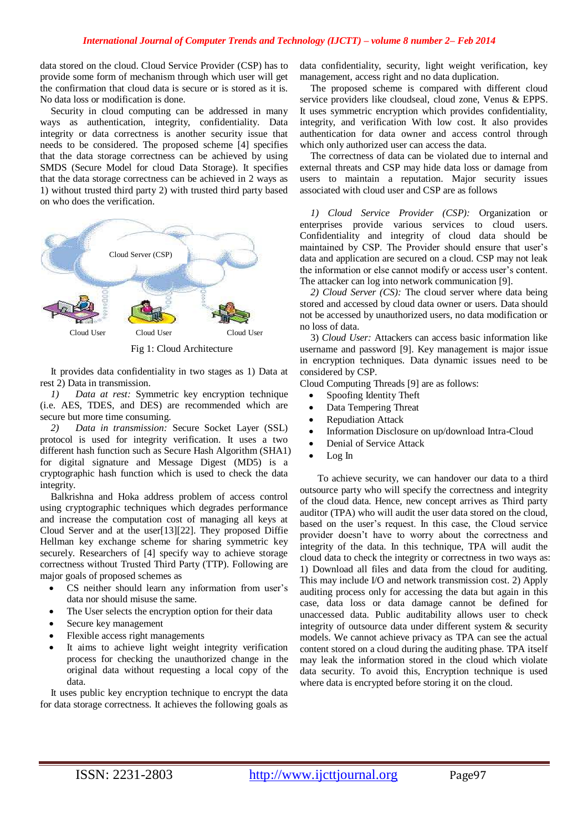data stored on the cloud. Cloud Service Provider (CSP) has to provide some form of mechanism through which user will get the confirmation that cloud data is secure or is stored as it is. No data loss or modification is done.

Security in cloud computing can be addressed in many ways as authentication, integrity, confidentiality. Data integrity or data correctness is another security issue that needs to be considered. The proposed scheme [4] specifies that the data storage correctness can be achieved by using SMDS (Secure Model for cloud Data Storage). It specifies that the data storage correctness can be achieved in 2 ways as 1) without trusted third party 2) with trusted third party based on who does the verification.



Fig 1: Cloud Architecture

It provides data confidentiality in two stages as 1) Data at rest 2) Data in transmission.

*1) Data at rest:* Symmetric key encryption technique (i.e. AES, TDES, and DES) are recommended which are secure but more time consuming.

*2) Data in transmission:* Secure Socket Layer (SSL) protocol is used for integrity verification. It uses a two different hash function such as Secure Hash Algorithm (SHA1) for digital signature and Message Digest (MD5) is a cryptographic hash function which is used to check the data integrity.

Balkrishna and Hoka address problem of access control using cryptographic techniques which degrades performance and increase the computation cost of managing all keys at Cloud Server and at the user[13][22]. They proposed Diffie Hellman key exchange scheme for sharing symmetric key securely. Researchers of [4] specify way to achieve storage correctness without Trusted Third Party (TTP). Following are major goals of proposed schemes as

- CS neither should learn any information from user's data nor should misuse the same.
- The User selects the encryption option for their data
- Secure key management
- Flexible access right managements
- It aims to achieve light weight integrity verification process for checking the unauthorized change in the original data without requesting a local copy of the data.

It uses public key encryption technique to encrypt the data for data storage correctness. It achieves the following goals as

data confidentiality, security, light weight verification, key management, access right and no data duplication.

The proposed scheme is compared with different cloud service providers like cloudseal, cloud zone, Venus & EPPS. It uses symmetric encryption which provides confidentiality, integrity, and verification With low cost. It also provides authentication for data owner and access control through which only authorized user can access the data.

The correctness of data can be violated due to internal and external threats and CSP may hide data loss or damage from users to maintain a reputation. Major security issues associated with cloud user and CSP are as follows

*1) Cloud Service Provider (CSP):* Organization or enterprises provide various services to cloud users. Confidentiality and integrity of cloud data should be maintained by CSP. The Provider should ensure that user's data and application are secured on a cloud. CSP may not leak the information or else cannot modify or access user's content. The attacker can log into network communication [9].

*2) Cloud Server (CS):* The cloud server where data being stored and accessed by cloud data owner or users. Data should not be accessed by unauthorized users, no data modification or no loss of data.

3) *Cloud User:* Attackers can access basic information like username and password [9]. Key management is major issue in encryption techniques. Data dynamic issues need to be considered by CSP.

Cloud Computing Threads [9] are as follows:

- Spoofing Identity Theft
- Data Tempering Threat
- Repudiation Attack
- Information Disclosure on up/download Intra-Cloud
- Denial of Service Attack
- Log In

To achieve security, we can handover our data to a third outsource party who will specify the correctness and integrity of the cloud data. Hence, new concept arrives as Third party auditor (TPA) who will audit the user data stored on the cloud, based on the user's request. In this case, the Cloud service provider doesn't have to worry about the correctness and integrity of the data. In this technique, TPA will audit the cloud data to check the integrity or correctness in two ways as: 1) Download all files and data from the cloud for auditing. This may include I/O and network transmission cost. 2) Apply auditing process only for accessing the data but again in this case, data loss or data damage cannot be defined for unaccessed data. Public auditability allows user to check integrity of outsource data under different system & security models. We cannot achieve privacy as TPA can see the actual content stored on a cloud during the auditing phase. TPA itself may leak the information stored in the cloud which violate data security. To avoid this, Encryption technique is used where data is encrypted before storing it on the cloud.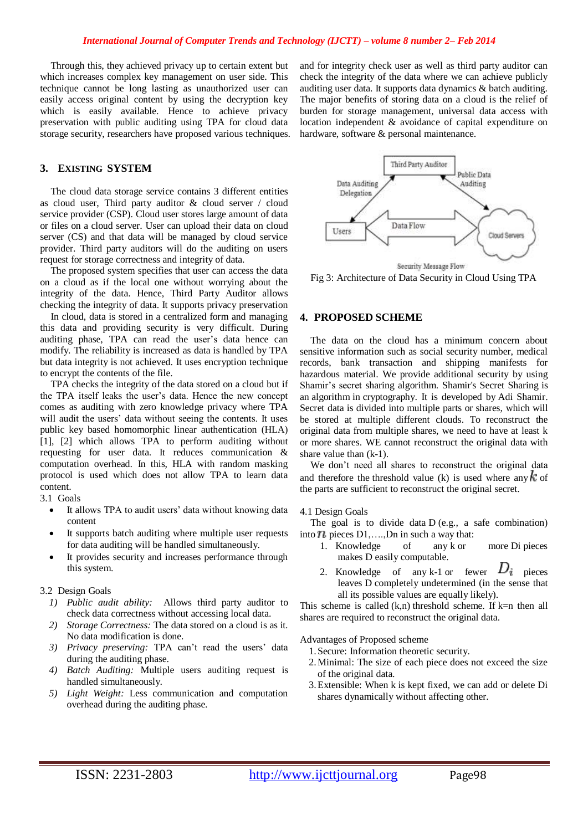Through this, they achieved privacy up to certain extent but which increases complex key management on user side. This technique cannot be long lasting as unauthorized user can easily access original content by using the decryption key which is easily available. Hence to achieve privacy preservation with public auditing using TPA for cloud data storage security, researchers have proposed various techniques.

#### **3. EXISTING SYSTEM**

The cloud data storage service contains 3 different entities as cloud user, Third party auditor & cloud server / cloud service provider (CSP). Cloud user stores large amount of data or files on a cloud server. User can upload their data on cloud server (CS) and that data will be managed by cloud service provider. Third party auditors will do the auditing on users request for storage correctness and integrity of data.

The proposed system specifies that user can access the data on a cloud as if the local one without worrying about the integrity of the data. Hence, Third Party Auditor allows checking the integrity of data. It supports privacy preservation

In cloud, data is stored in a centralized form and managing this data and providing security is very difficult. During auditing phase, TPA can read the user's data hence can modify. The reliability is increased as data is handled by TPA but data integrity is not achieved. It uses encryption technique to encrypt the contents of the file.

TPA checks the integrity of the data stored on a cloud but if the TPA itself leaks the user's data. Hence the new concept comes as auditing with zero knowledge privacy where TPA will audit the users' data without seeing the contents. It uses public key based homomorphic linear authentication (HLA) [1], [2] which allows TPA to perform auditing without requesting for user data. It reduces communication & computation overhead. In this, HLA with random masking protocol is used which does not allow TPA to learn data content.

3.1 Goals

- It allows TPA to audit users' data without knowing data content
- It supports batch auditing where multiple user requests for data auditing will be handled simultaneously.
- It provides security and increases performance through this system.

## 3.2 Design Goals

- *1) Public audit ability:* Allows third party auditor to check data correctness without accessing local data.
- *2) Storage Correctness:* The data stored on a cloud is as it. No data modification is done.
- *3) Privacy preserving:* TPA can't read the users' data during the auditing phase.
- *4) Batch Auditing:* Multiple users auditing request is handled simultaneously.
- *5) Light Weight:* Less communication and computation overhead during the auditing phase.

and for integrity check user as well as third party auditor can check the integrity of the data where we can achieve publicly auditing user data. It supports data dynamics & batch auditing. The major benefits of storing data on a cloud is the relief of burden for storage management, universal data access with location independent & avoidance of capital expenditure on hardware, software & personal maintenance.



Fig 3: Architecture of Data Security in Cloud Using TPA

# **4. PROPOSED SCHEME**

The data on the cloud has a minimum concern about sensitive information such as social security number, medical records, bank transaction and shipping manifests for hazardous material. We provide additional security by using Shamir's secret sharing algorithm. Shamir's Secret Sharing is an [algorithm](http://en.wikipedia.org/wiki/Algorithm) in [cryptography.](http://en.wikipedia.org/wiki/Cryptography) It is developed by [Adi Shamir.](http://en.wikipedia.org/wiki/Adi_Shamir) Secret data is divided into multiple parts or shares, which will be stored at multiple different clouds. To reconstruct the original data from multiple shares, we need to have at least k or more shares. WE cannot reconstruct the original data with share value than (k-1).

We don't need all shares to reconstruct the original data and therefore the threshold value (k) is used where any  $k$  of the parts are sufficient to reconstruct the original secret.

#### 4.1 Design Goals

The goal is to divide data D (e.g., a safe combination) into  $\mathbb{R}$  pieces  $D1, \ldots, Dn$  in such a way that:

- 1. Knowledge of any k or more Di pieces makes D easily computable.
- 2. Knowledge of any k-1 or fewer  $D_i$  pieces leaves D completely undetermined (in the sense that all its possible values are equally likely).

This scheme is called  $(k,n)$  threshold scheme. If  $k=n$  then all shares are required to reconstruct the original data.

Advantages of Proposed scheme

- 1.Secure: [Information theoretic security.](http://en.wikipedia.org/wiki/Information_theoretic_security)
- 2.Minimal: The size of each piece does not exceed the size of the original data.
- 3.Extensible: When k is kept fixed, we can add or delete Di shares dynamically without affecting other.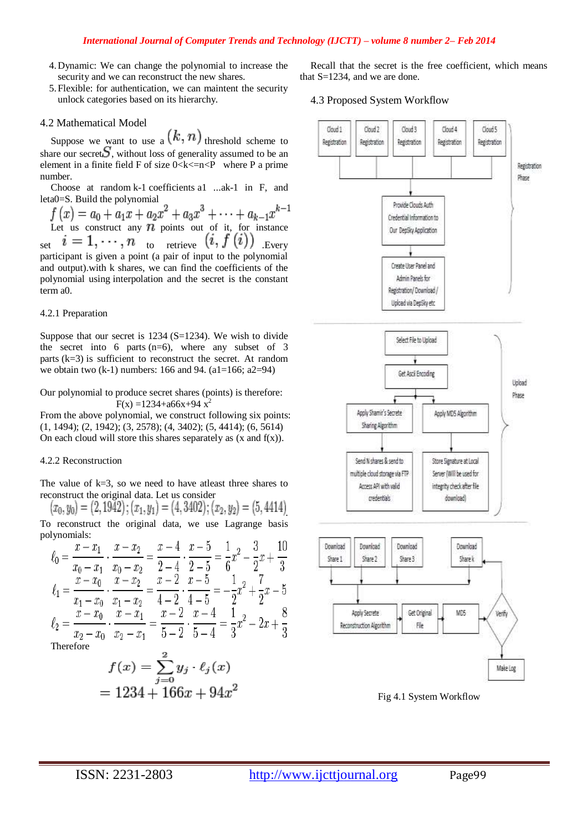#### *International Journal of Computer Trends and Technology (IJCTT) – volume 8 number 2– Feb 2014*

- 4.Dynamic: We can change the polynomial to increase the security and we can reconstruct the new shares.
- 5.Flexible: for authentication, we can maintent the security unlock categories based on its hierarchy.

## 4.2 Mathematical Model

Suppose we want to use a  $(k, n)$  threshold scheme to share our secret  $S$ , without loss of generality assumed to be an element in a [finite field](http://en.wikipedia.org/wiki/Finite_field) F of size  $0 < k < n < P$  where P a prime number.

Choose at random k-1 coefficients a1 ...ak-1 in F, and leta0=S. Build the polynomial

 $f(x) = a_0 + a_1x + a_2x^2 + a_3x^3 + \cdots + a_{k-1}x^{k-1}$ <br>Let us construct any *n* points out of it, for instance set  $i = 1, \dots, n$  to retrieve  $(i, f(i))$  Every participant is given a point (a pair of input to the polynomial and output).with k shares, we can find the coefficients of the polynomial using [interpolation](http://en.wikipedia.org/wiki/Curve_fitting) and the secret is the constant term a0.

#### 4.2.1 Preparation

Suppose that our secret is 1234 (S=1234). We wish to divide the secret into 6 parts  $(n=6)$ , where any subset of 3 parts (k=3) is sufficient to reconstruct the secret. At random we obtain two  $(k-1)$  numbers: 166 and 94.  $(a1=166; a2=94)$ 

Our polynomial to produce secret shares (points) is therefore:  $F(x) = 1234 + a66x + 94x^2$ 

From the above polynomial, we construct following six points: (1, 1494); (2, 1942); (3, 2578); (4, 3402); (5, 4414); (6, 5614) On each cloud will store this shares separately as  $(x \text{ and } f(x))$ .

## 4.2.2 Reconstruction

The value of  $k=3$ , so we need to have at least three shares to reconstruct the original data. Let us consider

 $(x_0, y_0) = (2, 1942); (x_1, y_1) = (4, 3402); (x_2, y_2) = (5, 4414)$ 

To reconstruct the original data, we use [Lagrange basis](http://en.wikipedia.org/wiki/Lagrange_polynomial)  [polynomials:](http://en.wikipedia.org/wiki/Lagrange_polynomial)  $\overline{a}$  $\overline{a}$ 

$$
\ell_0 = \frac{x - x_1}{x_0 - x_1} \cdot \frac{x - x_2}{x_0 - x_2} = \frac{x - 4}{2 - 4} \cdot \frac{x - 5}{2 - 5} = \frac{1}{6}x^2 - \frac{3}{2}x + \frac{10}{3}
$$
  
\n
$$
\ell_1 = \frac{x - x_0}{x_1 - x_0} \cdot \frac{x - x_2}{x_1 - x_2} = \frac{x - 2}{4 - 2} \cdot \frac{x - 5}{4 - 5} = -\frac{1}{2}x^2 + \frac{7}{2}x - 5
$$
  
\n
$$
\ell_2 = \frac{x - x_0}{x_2 - x_0} \cdot \frac{x - x_1}{x_2 - x_1} = \frac{x - 2}{5 - 2} \cdot \frac{x - 4}{5 - 4} = \frac{1}{3}x^2 - 2x + \frac{8}{3}
$$
  
\nTherefore

$$
f(x) = \sum_{j=0}^{6} y_j \cdot \ell_j(x)
$$
  
= 1234 + 166x + 94x<sup>2</sup>

Recall that the secret is the free coefficient, which means that S=1234, and we are done.

4.3 Proposed System Workflow



Fig 4.1 System Workflow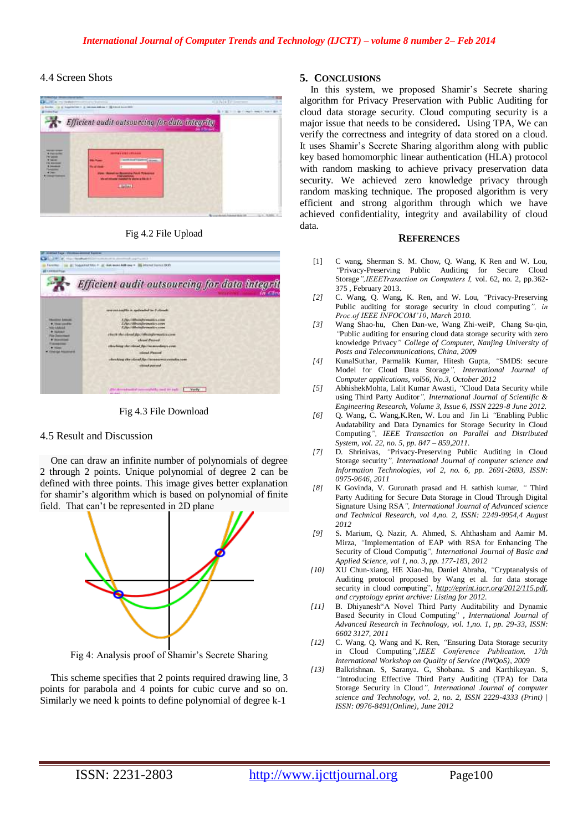## 4.4 Screen Shots



Fig 4.2 File Upload



Fig 4.3 File Download

#### 4.5 Result and Discussion

One can draw an infinite number of polynomials of degree 2 through 2 points. Unique polynomial of degree 2 can be defined with three points. This image gives better explanation for shamir's algorithm which is based on polynomial of finite field. That can't be represented in 2D plane



Fig 4: Analysis proof of Shamir's Secrete Sharing

This scheme specifies that 2 points required drawing line, 3 points for parabola and 4 points for cubic curve and so on. Similarly we need k points to define polynomial of degree k-1

## **5. CONCLUSIONS**

In this system, we proposed Shamir's Secrete sharing algorithm for Privacy Preservation with Public Auditing for cloud data storage security. Cloud computing security is a major issue that needs to be considered**.** Using TPA, We can verify the correctness and integrity of data stored on a cloud. It uses Shamir's Secrete Sharing algorithm along with public key based homomorphic linear authentication (HLA) protocol with random masking to achieve privacy preservation data security. We achieved zero knowledge privacy through random masking technique. The proposed algorithm is very efficient and strong algorithm through which we have achieved confidentiality, integrity and availability of cloud data.

#### **REFERENCES**

- [1] C wang, Sherman S. M. Chow, Q. Wang, K Ren and W. Lou, *"*Privacy-Preserving Public Auditing for Secure Cloud Storage*",IEEETrasaction on Computers I,* vol. 62, no. 2, pp.362- 375 , February 2013.
- *[2]* C. Wang, Q. Wang, K. Ren, and W. Lou, *"*Privacy-Preserving Public auditing for storage security in cloud computing*", in Proc.of IEEE INFOCOM'10, March 2010.*
- *[3]* Wang Shao-hu, Chen Dan-we, Wang Zhi-weiP, Chang Su-qin, *"*Public auditing for ensuring cloud data storage security with zero knowledge Privacy*" College of Computer, Nanjing University of Posts and Telecommunications, China, 2009*
- *[4]* KunalSuthar, Parmalik Kumar, Hitesh Gupta, *"*SMDS: secure Model for Cloud Data Storage*", International Journal of Computer applications, vol56, No.3, October 2012*
- *[5]* AbhishekMohta, Lalit Kumar Awasti, *"*Cloud Data Security while using Third Party Auditor*", International Journal of Scientific & Engineering Research, Volume 3, Issue 6, ISSN 2229-8 June 2012.*
- *[6]* Q. Wang, C. Wang,K.Ren, W. Lou and Jin Li *"*Enabling Public Audatability and Data Dynamics for Storage Security in Cloud Computing*", IEEE Transaction on Parallel and Distributed System, vol. 22, no. 5, pp. 847 – 859,2011.*
- *[7]* D. Shrinivas, *"*Privacy-Preserving Public Auditing in Cloud Storage security*", International Journal of computer science and Information Technologies, vol 2, no. 6, pp. 2691-2693, ISSN: 0975-9646, 2011*
- *[8]* K Govinda, V. Gurunath prasad and H. sathish kumar*, "* Third Party Auditing for Secure Data Storage in Cloud Through Digital Signature Using RSA*", International Journal of Advanced science and Technical Research, vol 4,no. 2, ISSN: 2249-9954,4 August 2012*
- *[9]* S. Marium, Q. Nazir, A. Ahmed, S. Ahthasham and Aamir M. Mirza, *"*Implementation of EAP with RSA for Enhancing The Security of Cloud Computig*", International Journal of Basic and Applied Science, vol 1, no. 3, pp. 177-183, 2012*
- *[10]* XU Chun-xiang, HE Xiao-hu, Daniel Abraha, *"*Cryptanalysis of Auditing protocol proposed by Wang et al. for data storage security in cloud computing", *http://eprint.iacr.org/2012/115.pdf*, *and cryptology eprint archive: Listing for 2012.*
- *[11]* B. Dhiyanesh"A Novel Third Party Auditability and Dynamic Based Security in Cloud Computing" *, International Journal of Advanced Research in Technology, vol. 1,no. 1, pp. 29-33, ISSN: 6602 3127, 2011*
- *[12]* C. Wang, Q. Wang and K. Ren, *"*Ensuring Data Storage security in Cloud Computing*",IEEE Conference Publication, 17th International Workshop on Quality of Service (IWQoS), 2009*
- *[13]* Balkrishnan. S, Saranya. G, Shobana. S and Karthikeyan. S, *"*Introducing Effective Third Party Auditing (TPA) for Data Storage Security in Cloud*", International Journal of computer science and Technology, vol. 2, no. 2, ISSN 2229-4333 (Print) | ISSN: 0976-8491(Online), June 2012*